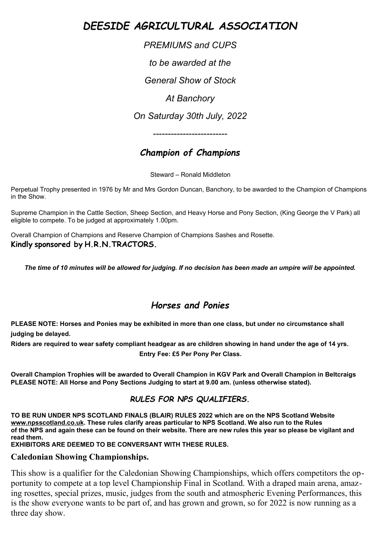# *DEESIDE AGRICULTURAL ASSOCIATION*

*PREMIUMS and CUPS to be awarded at the General Show of Stock At Banchory On Saturday 30th July, 2022*

# *Champion of Champions*

*-------------------------*

Steward – Ronald Middleton

Perpetual Trophy presented in 1976 by Mr and Mrs Gordon Duncan, Banchory, to be awarded to the Champion of Champions in the Show.

Supreme Champion in the Cattle Section, Sheep Section, and Heavy Horse and Pony Section, (King George the V Park) all eligible to compete. To be judged at approximately 1.00pm.

Overall Champion of Champions and Reserve Champion of Champions Sashes and Rosette. **Kindly sponsored by H.R.N.TRACTORS.**

*The time of 10 minutes will be allowed for judging. If no decision has been made an umpire will be appointed.*

# *Horses and Ponies*

**PLEASE NOTE: Horses and Ponies may be exhibited in more than one class, but under no circumstance shall judging be delayed.** 

**Riders are required to wear safety compliant headgear as are children showing in hand under the age of 14 yrs. Entry Fee: £5 Per Pony Per Class.**

**Overall Champion Trophies will be awarded to Overall Champion in KGV Park and Overall Champion in Beltcraigs PLEASE NOTE: All Horse and Pony Sections Judging to start at 9.00 am. (unless otherwise stated).**

### *RULES FOR NPS QUALIFIERS.*

**TO BE RUN UNDER NPS SCOTLAND FINALS (BLAIR) RULES 2022 which are on the NPS Scotland Website [www.npsscotland.co.uk](http://www.npsscotland.co.uk/). These rules clarify areas particular to NPS Scotland. We also run to the Rules of the NPS and again these can be found on their website. There are new rules this year so please be vigilant and read them.**

**EXHIBITORS ARE DEEMED TO BE CONVERSANT WITH THESE RULES.**

### **Caledonian Showing Championships.**

This show is a qualifier for the Caledonian Showing Championships, which offers competitors the opportunity to compete at a top level Championship Final in Scotland. With a draped main arena, amazing rosettes, special prizes, music, judges from the south and atmospheric Evening Performances, this is the show everyone wants to be part of, and has grown and grown, so for 2022 is now running as a three day show.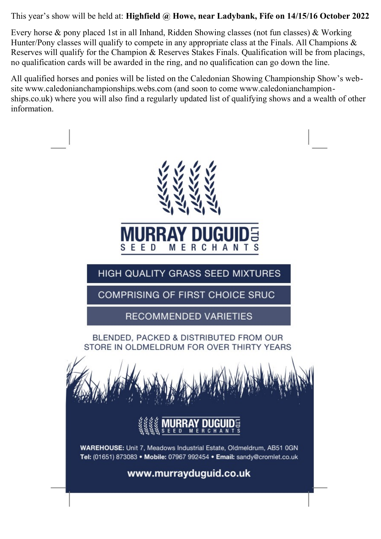### This year's show will be held at: **Highfield @ Howe, near Ladybank, Fife on 14/15/16 October 2022**

Every horse & pony placed 1st in all Inhand, Ridden Showing classes (not fun classes) & Working Hunter/Pony classes will qualify to compete in any appropriate class at the Finals. All Champions & Reserves will qualify for the Champion & Reserves Stakes Finals. Qualification will be from placings, no qualification cards will be awarded in the ring, and no qualification can go down the line.

All qualified horses and ponies will be listed on the Caledonian Showing Championship Show's website www.caledonianchampionships.webs.com (and soon to come www.caledonianchampionships.co.uk) where you will also find a regularly updated list of qualifying shows and a wealth of other information.

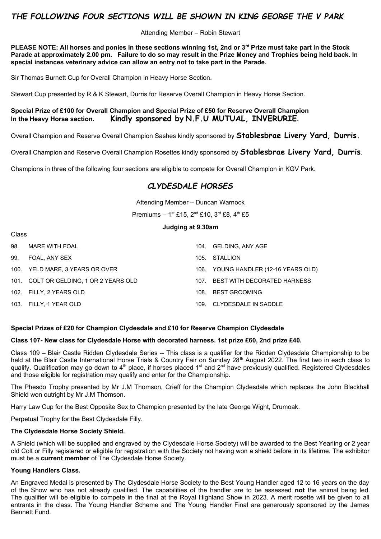### *THE FOLLOWING FOUR SECTIONS WILL BE SHOWN IN KING GEORGE THE V PARK*

Attending Member – Robin Stewart

**PLEASE NOTE: All horses and ponies in these sections winning 1st, 2nd or 3rd Prize must take part in the Stock Parade at approximately 2.00 pm. Failure to do so may result in the Prize Money and Trophies being held back. In special instances veterinary advice can allow an entry not to take part in the Parade.**

Sir Thomas Burnett Cup for Overall Champion in Heavy Horse Section.

Stewart Cup presented by R & K Stewart, Durris for Reserve Overall Champion in Heavy Horse Section.

**Special Prize of £100 for Overall Champion and Special Prize of £50 for Reserve Overall Champion In the Heavy Horse section. Kindly sponsored by N.F.U MUTUAL, INVERURIE.**

Overall Champion and Reserve Overall Champion Sashes kindly sponsored by **Stablesbrae Livery Yard, Durris.**

Overall Champion and Reserve Overall Champion Rosettes kindly sponsored by **Stablesbrae Livery Yard, Durris**.

Champions in three of the following four sections are eligible to compete for Overall Champion in KGV Park.

### *CLYDESDALE HORSES*

Attending Member – Duncan Warnock

Premiums –  $1^{st}$  £15,  $2^{nd}$  £10,  $3^{rd}$  £8,  $4^{th}$  £5

#### **Judging at 9.30am**

| 98. | MARE WITH FOAL                         |      | 104. GELDING, ANY AGE                |
|-----|----------------------------------------|------|--------------------------------------|
| 99. | FOAL. ANY SEX                          |      | 105. STALLION                        |
|     | 100. YELD MARE, 3 YEARS OR OVER        |      | 106. YOUNG HANDLER (12-16 YEARS OLD) |
|     | 101. COLT OR GELDING. 1 OR 2 YEARS OLD | 107. | BEST WITH DECORATED HARNESS          |
|     | 102. FILLY, 2 YEARS OLD                | 108. | BEST GROOMING                        |
|     | 103. FILLY, 1 YEAR OLD                 | 109. | CLYDESDALE IN SADDLE                 |

#### **Special Prizes of £20 for Champion Clydesdale and £10 for Reserve Champion Clydesdale**

#### **Class 107- New class for Clydesdale Horse with decorated harness. 1st prize £60, 2nd prize £40.**

Class 109 – Blair Castle Ridden Clydesdale Series -- This class is a qualifier for the Ridden Clydesdale Championship to be held at the Blair Castle International Horse Trials & Country Fair on Sunday 28<sup>th</sup> August 2022. The first two in each class to qualify. Qualification may go down to 4<sup>th</sup> place, if horses placed 1<sup>st</sup> and 2<sup>nd</sup> have previously qualified. Registered Clydesdales and those eligible for registration may qualify and enter for the Championship.

The Phesdo Trophy presented by Mr J.M Thomson, Crieff for the Champion Clydesdale which replaces the John Blackhall Shield won outright by Mr J.M Thomson.

Harry Law Cup for the Best Opposite Sex to Champion presented by the late George Wight, Drumoak.

Perpetual Trophy for the Best Clydesdale Filly.

#### **The Clydesdale Horse Society Shield.**

A Shield (which will be supplied and engraved by the Clydesdale Horse Society) will be awarded to the Best Yearling or 2 year old Colt or Filly registered or eligible for registration with the Society not having won a shield before in its lifetime. The exhibitor must be a **current member** of The Clydesdale Horse Society.

#### **Young Handlers Class.**

Class

An Engraved Medal is presented by The Clydesdale Horse Society to the Best Young Handler aged 12 to 16 years on the day of the Show who has not already qualified. The capabilities of the handler are to be assessed **not** the animal being led. The qualifier will be eligible to compete in the final at the Royal Highland Show in 2023. A merit rosette will be given to all entrants in the class. The Young Handler Scheme and The Young Handler Final are generously sponsored by the James Bennett Fund.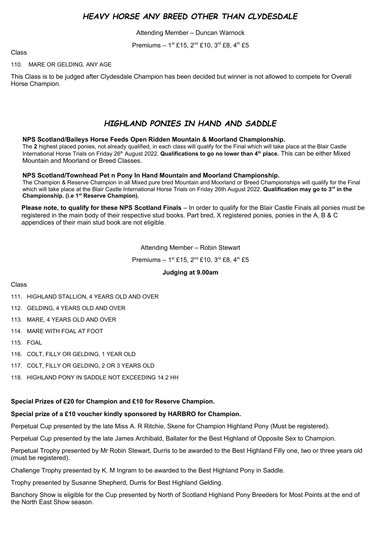### *HEAVY HORSE ANY BREED OTHER THAN CLYDESDALE*

Attending Member – Duncan Warnock

Premiums –  $1^{st}$  £15,  $2^{nd}$  £10,  $3^{rd}$  £8,  $4^{th}$  £5

#### Class

#### 110. MARE OR GELDING, ANY AGE

This Class is to be judged after Clydesdale Champion has been decided but winner is not allowed to compete for Overall Horse Champion.

### *HIGHLAND PONIES IN HAND AND SADDLE*

#### **NPS Scotland/Baileys Horse Feeds Open Ridden Mountain & Moorland Championship.**

The **2** highest placed ponies, not already qualified, in each class will qualify for the Final which will take place at the Blair Castle International Horse Trials on Friday 26<sup>th</sup> August 2022. Qualifications to go no lower than 4<sup>th</sup> place. This can be either Mixed Mountain and Moorland or Breed Classes.

#### **NPS Scotland/Townhead Pet n Pony In Hand Mountain and Moorland Championship.**

The Champion & Reserve Champion in all Mixed pure bred Mountain and Moorland or Breed Championships will qualify for the Final which will take place at the Blair Castle International Horse Trials on Friday 26th August 2022. **Qualification may go to 3rd in the Championship. (i.e 1st Reserve Champion).**

**Please note, to qualify for these NPS Scotland Finals** – In order to qualify for the Blair Castle Finals all ponies must be registered in the main body of their respective stud books. Part bred, X registered ponies, ponies in the A, B & C appendices of their main stud book are not eligible.

Attending Member – Robin Stewart

Premiums - 1st £15, 2<sup>nd</sup> £10, 3<sup>rd</sup> £8, 4<sup>th</sup> £5

#### **Judging at 9.00am**

#### Class

- 111. HIGHLAND STALLION, 4 YEARS OLD AND OVER
- 112. GELDING, 4 YEARS OLD AND OVER
- 113. MARE, 4 YEARS OLD AND OVER
- 114. MARE WITH FOAL AT FOOT
- 115. FOAL
- 116. COLT, FILLY OR GELDING, 1 YEAR OLD
- 117. COLT, FILLY OR GELDING, 2 OR 3 YEARS OLD
- 118. HIGHLAND PONY IN SADDLE NOT EXCEEDING 14.2 HH

#### **Special Prizes of £20 for Champion and £10 for Reserve Champion.**

#### **Special prize of a £10 voucher kindly sponsored by HARBRO for Champion.**

Perpetual Cup presented by the late Miss A. R Ritchie, Skene for Champion Highland Pony (Must be registered).

Perpetual Cup presented by the late James Archibald, Ballater for the Best Highland of Opposite Sex to Champion.

Perpetual Trophy presented by Mr Robin Stewart, Durris to be awarded to the Best Highland Filly one, two or three years old (must be registered).

Challenge Trophy presented by K. M Ingram to be awarded to the Best Highland Pony in Saddle.

Trophy presented by Susanne Shepherd, Durris for Best Highland Gelding.

Banchory Show is eligible for the Cup presented by North of Scotland Highland Pony Breeders for Most Points at the end of the North East Show season.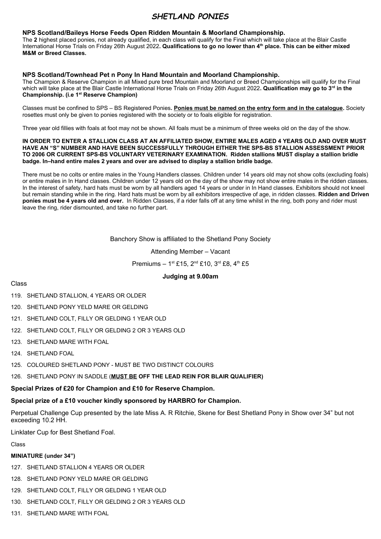### *SHETLAND PONIES*

#### **NPS Scotland/Baileys Horse Feeds Open Ridden Mountain & Moorland Championship.**

The **2** highest placed ponies, not already qualified, in each class will qualify for the Final which will take place at the Blair Castle International Horse Trials on Friday 26th August 2022**. Qualifications to go no lower than 4th place. This can be either mixed M&M or Breed Classes.**

#### **NPS Scotland/Townhead Pet n Pony In Hand Mountain and Moorland Championship.**

The Champion & Reserve Champion in all Mixed pure bred Mountain and Moorland or Breed Championships will qualify for the Final which will take place at the Blair Castle International Horse Trials on Friday 26th August 2022**. Qualification may go to 3rd in the Championship. (i.e 1st Reserve Champion)**

Classes must be confined to SPS – BS Registered Ponies**. Ponies must be named on the entry form and in the catalogue.** Society rosettes must only be given to ponies registered with the society or to foals eligible for registration.

Three year old fillies with foals at foot may not be shown. All foals must be a minimum of three weeks old on the day of the show.

#### **IN ORDER TO ENTER A STALLION CLASS AT AN AFFILIATED SHOW, ENTIRE MALES AGED 4 YEARS OLD AND OVER MUST HAVE AN "S" NUMBER AND HAVE BEEN SUCCESSFULLY THROUGH EITHER THE SPS-BS STALLION ASSESSMENT PRIOR TO 2006 OR CURRENT SPS-BS VOLUNTARY VETERINARY EXAMINATION. Ridden stallions MUST display a stallion bridle badge. In–hand entire males 2 years and over are advised to display a stallion bridle badge.**

There must be no colts or entire males in the Young Handlers classes. Children under 14 years old may not show colts (excluding foals) or entire males in In Hand classes. Children under 12 years old on the day of the show may not show entire males in the ridden classes. In the interest of safety, hard hats must be worn by all handlers aged 14 years or under in In Hand classes. Exhibitors should not kneel but remain standing while in the ring. Hard hats must be worn by all exhibitors irrespective of age, in ridden classes. **Ridden and Driven ponies must be 4 years old and over.** In Ridden Classes, if a rider falls off at any time whilst in the ring, both pony and rider must leave the ring, rider dismounted, and take no further part.

#### Banchory Show is affiliated to the Shetland Pony Society

#### Attending Member – Vacant

Premiums – 1st £15,  $2^{nd}$  £10,  $3^{rd}$  £8,  $4^{th}$  £5

#### **Judging at 9.00am**

#### Class

- 119. SHETLAND STALLION, 4 YEARS OR OLDER
- 120. SHETLAND PONY YELD MARE OR GELDING
- 121. SHETLAND COLT, FILLY OR GELDING 1 YEAR OLD
- 122. SHETLAND COLT, FILLY OR GELDING 2 OR 3 YEARS OLD
- 123. SHETLAND MARE WITH FOAL
- 124. SHETLAND FOAL
- 125. COLOURED SHETLAND PONY MUST BE TWO DISTINCT COLOURS

#### 126. SHETLAND PONY IN SADDLE (**MUST BE OFF THE LEAD REIN FOR BLAIR QUALIFIER)**

#### **Special Prizes of £20 for Champion and £10 for Reserve Champion.**

#### **Special prize of a £10 voucher kindly sponsored by HARBRO for Champion.**

Perpetual Challenge Cup presented by the late Miss A. R Ritchie, Skene for Best Shetland Pony in Show over 34" but not exceeding 10.2 HH.

Linklater Cup for Best Shetland Foal.

Class

#### **MINIATURE (under 34")**

- 127. SHETLAND STALLION 4 YEARS OR OLDER
- 128. SHETLAND PONY YELD MARE OR GELDING
- 129. SHETLAND COLT, FILLY OR GELDING 1 YEAR OLD
- 130. SHETLAND COLT, FILLY OR GELDING 2 OR 3 YEARS OLD
- 131. SHETLAND MARE WITH FOAL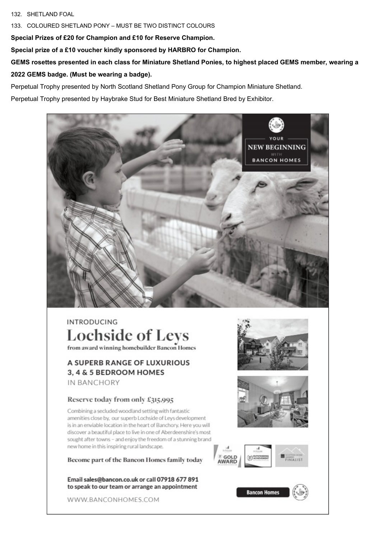#### 132. SHETLAND FOAL

133. COLOURED SHETLAND PONY – MUST BE TWO DISTINCT COLOURS

**Special Prizes of £20 for Champion and £10 for Reserve Champion.** 

**Special prize of a £10 voucher kindly sponsored by HARBRO for Champion.**

**GEMS rosettes presented in each class for Miniature Shetland Ponies, to highest placed GEMS member, wearing a 2022 GEMS badge. (Must be wearing a badge).** 

Perpetual Trophy presented by North Scotland Shetland Pony Group for Champion Miniature Shetland.

Perpetual Trophy presented by Haybrake Stud for Best Miniature Shetland Bred by Exhibitor.



# **INTRODUCING Lochside of Levs**

from award winning homebuilder Bancon Homes

### **A SUPERB RANGE OF LUXURIOUS** 3, 4 & 5 BEDROOM HOMES IN BANCHORY

#### Reserve today from only £315,995

Combining a secluded woodland setting with fantastic amenities close by, our superb Lochside of Leys development is in an enviable location in the heart of Banchory. Here you will discover a beautiful place to live in one of Aberdeenshire's most sought after towns - and enjoy the freedom of a stunning brand new home in this inspiring rural landscape.

Become part of the Bancon Homes family today

Email sales@bancon.co.uk or call 07918 677 891 to speak to our team or arrange an appointment

WWW.BANCONHOMES.COM







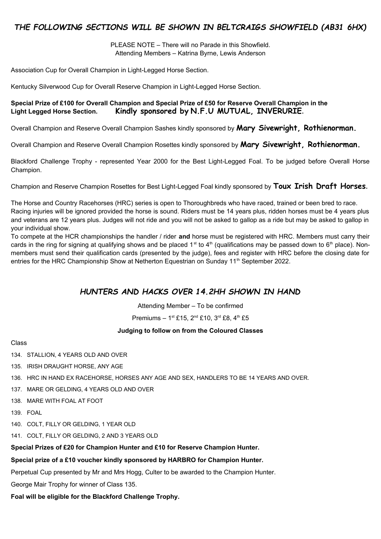### *THE FOLLOWING SECTIONS WILL BE SHOWN IN BELTCRAIGS SHOWFIELD (AB31 6HX)*

PLEASE NOTE – There will no Parade in this Showfield. Attending Members – Katrina Byrne, Lewis Anderson

Association Cup for Overall Champion in Light-Legged Horse Section.

Kentucky Silverwood Cup for Overall Reserve Champion in Light-Legged Horse Section.

#### **Special Prize of £100 for Overall Champion and Special Prize of £50 for Reserve Overall Champion in the Light Legged Horse Section. Kindly sponsored by N.F.U MUTUAL, INVERURIE.**

Overall Champion and Reserve Overall Champion Sashes kindly sponsored by **Mary Sivewright, Rothienorman.**

Overall Champion and Reserve Overall Champion Rosettes kindly sponsored by **Mary Sivewright, Rothienorman.**

Blackford Challenge Trophy - represented Year 2000 for the Best Light-Legged Foal. To be judged before Overall Horse Champion.

Champion and Reserve Champion Rosettes for Best Light-Legged Foal kindly sponsored by **Toux Irish Draft Horses.**

The Horse and Country Racehorses (HRC) series is open to Thoroughbreds who have raced, trained or been bred to race. Racing injuries will be ignored provided the horse is sound. Riders must be 14 years plus, ridden horses must be 4 years plus and veterans are 12 years plus. Judges will not ride and you will not be asked to gallop as a ride but may be asked to gallop in your individual show.

To compete at the HCR championships the handler / rider **and** horse must be registered with HRC. Members must carry their cards in the ring for signing at qualifying shows and be placed 1<sup>st</sup> to 4<sup>th</sup> (qualifications may be passed down to 6<sup>th</sup> place). Nonmembers must send their qualification cards (presented by the judge), fees and register with HRC before the closing date for entries for the HRC Championship Show at Netherton Equestrian on Sunday 11<sup>th</sup> September 2022.

### *HUNTERS AND HACKS OVER 14.2HH SHOWN IN HAND*

Attending Member – To be confirmed

Premiums –  $1^{st}$  £15,  $2^{nd}$  £10,  $3^{rd}$  £8,  $4^{th}$  £5

#### **Judging to follow on from the Coloured Classes**

#### Class

134. STALLION, 4 YEARS OLD AND OVER

135. IRISH DRAUGHT HORSE, ANY AGE

- 136. HRC IN HAND EX RACEHORSE, HORSES ANY AGE AND SEX, HANDLERS TO BE 14 YEARS AND OVER.
- 137. MARE OR GELDING, 4 YEARS OLD AND OVER
- 138. MARE WITH FOAL AT FOOT
- 139. FOAL
- 140. COLT, FILLY OR GELDING, 1 YEAR OLD
- 141. COLT, FILLY OR GELDING, 2 AND 3 YEARS OLD

#### **Special Prizes of £20 for Champion Hunter and £10 for Reserve Champion Hunter.**

#### **Special prize of a £10 voucher kindly sponsored by HARBRO for Champion Hunter.**

Perpetual Cup presented by Mr and Mrs Hogg, Culter to be awarded to the Champion Hunter.

George Mair Trophy for winner of Class 135.

#### **Foal will be eligible for the Blackford Challenge Trophy.**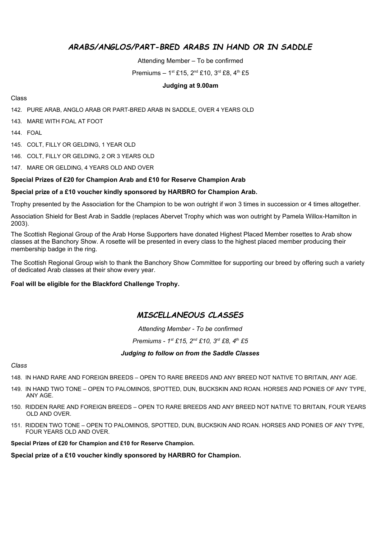### *ARABS/ANGLOS/PART-BRED ARABS IN HAND OR IN SADDLE*

Attending Member – To be confirmed

Premiums –  $1^{st}$  £15,  $2^{nd}$  £10,  $3^{rd}$  £8,  $4^{th}$  £5

#### **Judging at 9.00am**

#### Class

142. PURE ARAB, ANGLO ARAB OR PART-BRED ARAB IN SADDLE, OVER 4 YEARS OLD

143. MARE WITH FOAL AT FOOT

144. FOAL

145. COLT, FILLY OR GELDING, 1 YEAR OLD

146. COLT, FILLY OR GELDING, 2 OR 3 YEARS OLD

147. MARE OR GELDING, 4 YEARS OLD AND OVER

#### **Special Prizes of £20 for Champion Arab and £10 for Reserve Champion Arab**

#### **Special prize of a £10 voucher kindly sponsored by HARBRO for Champion Arab.**

Trophy presented by the Association for the Champion to be won outright if won 3 times in succession or 4 times altogether.

Association Shield for Best Arab in Saddle (replaces Abervet Trophy which was won outright by Pamela Willox-Hamilton in 2003).

The Scottish Regional Group of the Arab Horse Supporters have donated Highest Placed Member rosettes to Arab show classes at the Banchory Show. A rosette will be presented in every class to the highest placed member producing their membership badge in the ring.

The Scottish Regional Group wish to thank the Banchory Show Committee for supporting our breed by offering such a variety of dedicated Arab classes at their show every year.

#### **Foal will be eligible for the Blackford Challenge Trophy.**

### *MISCELLANEOUS CLASSES*

*Attending Member - To be confirmed*

*Premiums - 1st £15, 2nd £10, 3rd £8, 4th £5*

#### *Judging to follow on from the Saddle Classes*

#### *Class*

148. IN HAND RARE AND FOREIGN BREEDS – OPEN TO RARE BREEDS AND ANY BREED NOT NATIVE TO BRITAIN, ANY AGE.

- 149. IN HAND TWO TONE OPEN TO PALOMINOS, SPOTTED, DUN, BUCKSKIN AND ROAN. HORSES AND PONIES OF ANY TYPE, ANY AGE.
- 150. RIDDEN RARE AND FOREIGN BREEDS OPEN TO RARE BREEDS AND ANY BREED NOT NATIVE TO BRITAIN, FOUR YEARS OLD AND OVER.
- 151. RIDDEN TWO TONE OPEN TO PALOMINOS, SPOTTED, DUN, BUCKSKIN AND ROAN. HORSES AND PONIES OF ANY TYPE, FOUR YEARS OLD AND OVER.

**Special Prizes of £20 for Champion and £10 for Reserve Champion.**

#### **Special prize of a £10 voucher kindly sponsored by HARBRO for Champion.**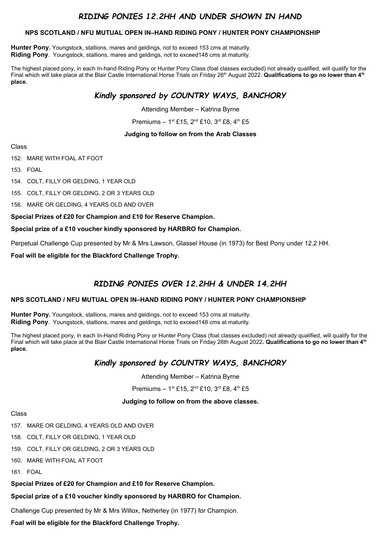### *RIDING PONIES 12.2HH AND UNDER SHOWN IN HAND*

#### **NPS SCOTLAND / NFU MUTUAL OPEN IN–HAND RIDING PONY / HUNTER PONY CHAMPIONSHIP**

**Hunter Pony.** Youngstock, stallions, mares and geldings, not to exceed 153 cms at maturity. **Riding Pony**. Youngstock, stallions, mares and geldings, not to exceed148 cms at maturity.

The highest placed pony, in each In-hand Riding Pony or Hunter Pony Class (foal classes excluded) not already qualified, will qualify for the Final which will take place at the Blair Castle International Horse Trials on Friday 26<sup>th</sup> August 2022. **Qualifications to go no lower than 4<sup>th</sup> place.**

### *Kindly sponsored by COUNTRY WAYS, BANCHORY*

Attending Member – Katrina Byrne

Premiums –  $1^{st}$  £15,  $2^{nd}$  £10,  $3^{rd}$  £8,  $4^{th}$  £5

#### **Judging to follow on from the Arab Classes**

Class

152. MARE WITH FOAL AT FOOT

153. FOAL

154. COLT, FILLY OR GELDING, 1 YEAR OLD

155. COLT, FILLY OR GELDING, 2 OR 3 YEARS OLD

156. MARE OR GELDING, 4 YEARS OLD AND OVER

#### **Special Prizes of £20 for Champion and £10 for Reserve Champion.**

#### **Special prize of a £10 voucher kindly sponsored by HARBRO for Champion.**

Perpetual Challenge Cup presented by Mr & Mrs Lawson, Glassel House (in 1973) for Best Pony under 12.2 HH.

**Foal will be eligible for the Blackford Challenge Trophy.**

### *RIDING PONIES OVER 12.2HH & UNDER 14.2HH*

#### **NPS SCOTLAND / NFU MUTUAL OPEN IN–HAND RIDING PONY / HUNTER PONY CHAMPIONSHIP**

**Hunter Pony.** Youngstock, stallions, mares and geldings, not to exceed 153 cms at maturity. **Riding Pony**. Youngstock, stallions, mares and geldings, not to exceed148 cms at maturity.

The highest placed pony, in each In-Hand Riding Pony or Hunter Pony Class (foal classes excluded) not already qualified, will qualify for the Final which will take place at the Blair Castle International Horse Trials on Friday 26th August 2022**. Qualifications to go no lower than 4th place.**

### *Kindly sponsored by COUNTRY WAYS, BANCHORY*

Attending Member – Katrina Byrne

Premiums –  $1^{st}$  £15,  $2^{nd}$  £10,  $3^{rd}$  £8,  $4^{th}$  £5

#### **Judging to follow on from the above classes.**

#### Class

- 157. MARE OR GELDING, 4 YEARS OLD AND OVER
- 158. COLT, FILLY OR GELDING, 1 YEAR OLD
- 159. COLT, FILLY OR GELDING, 2 OR 3 YEARS OLD
- 160. MARE WITH FOAL AT FOOT

161. FOAL

**Special Prizes of £20 for Champion and £10 for Reserve Champion.** 

#### **Special prize of a £10 voucher kindly sponsored by HARBRO for Champion.**

Challenge Cup presented by Mr & Mrs Willox, Netherley (in 1977) for Champion.

**Foal will be eligible for the Blackford Challenge Trophy.**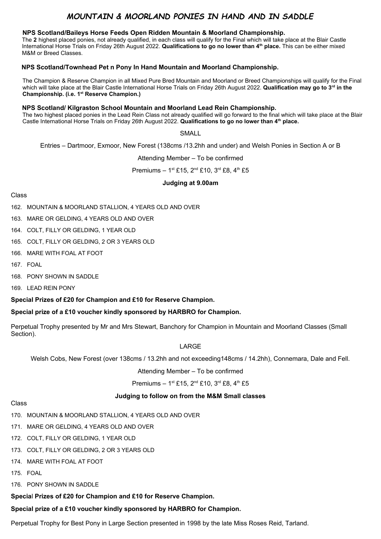### *MOUNTAIN & MOORLAND PONIES IN HAND AND IN SADDLE*

#### **NPS Scotland/Baileys Horse Feeds Open Ridden Mountain & Moorland Championship.**

The **2** highest placed ponies, not already qualified, in each class will qualify for the Final which will take place at the Blair Castle International Horse Trials on Friday 26th August 2022. **Qualifications to go no lower than 4th place.** This can be either mixed M&M or Breed Classes.

#### **NPS Scotland/Townhead Pet n Pony In Hand Mountain and Moorland Championship.**

The Champion & Reserve Champion in all Mixed Pure Bred Mountain and Moorland or Breed Championships will qualify for the Final which will take place at the Blair Castle International Horse Trials on Friday 26th August 2022. **Qualification may go to 3rd in the Championship. (i.e. 1st Reserve Champion.)**

#### **NPS Scotland/ Kilgraston School Mountain and Moorland Lead Rein Championship.**

The two highest placed ponies in the Lead Rein Class not already qualified will go forward to the final which will take place at the Blair Castle International Horse Trials on Friday 26th August 2022. **Qualifications to go no lower than 4th place.** 

#### SMALL

Entries – Dartmoor, Exmoor, New Forest (138cms /13.2hh and under) and Welsh Ponies in Section A or B

Attending Member – To be confirmed

Premiums – 1<sup>st</sup> £15, 2<sup>nd</sup> £10, 3<sup>rd</sup> £8, 4<sup>th</sup> £5

#### **Judging at 9.00am**

#### Class

- 162. MOUNTAIN & MOORLAND STALLION, 4 YEARS OLD AND OVER
- 163. MARE OR GELDING, 4 YEARS OLD AND OVER
- 164. COLT, FILLY OR GELDING, 1 YEAR OLD
- 165. COLT, FILLY OR GELDING, 2 OR 3 YEARS OLD
- 166. MARE WITH FOAL AT FOOT
- 167. FOAL
- 168. PONY SHOWN IN SADDLE
- 169. LEAD REIN PONY

#### **Special Prizes of £20 for Champion and £10 for Reserve Champion.**

#### **Special prize of a £10 voucher kindly sponsored by HARBRO for Champion.**

Perpetual Trophy presented by Mr and Mrs Stewart, Banchory for Champion in Mountain and Moorland Classes (Small Section).

#### LARGE

Welsh Cobs, New Forest (over 138cms / 13.2hh and not exceeding148cms / 14.2hh), Connemara, Dale and Fell.

#### Attending Member – To be confirmed

#### Premiums –  $1^{st}$  £15,  $2^{nd}$  £10,  $3^{rd}$  £8,  $4^{th}$  £5

#### **Judging to follow on from the M&M Small classes**

#### Class

- 170. MOUNTAIN & MOORLAND STALLION, 4 YEARS OLD AND OVER
- 171. MARE OR GELDING, 4 YEARS OLD AND OVER
- 172. COLT, FILLY OR GELDING, 1 YEAR OLD
- 173. COLT, FILLY OR GELDING, 2 OR 3 YEARS OLD
- 174. MARE WITH FOAL AT FOOT
- 175. FOAL
- 176. PONY SHOWN IN SADDLE

#### **Specia**l **Prizes of £20 for Champion and £10 for Reserve Champion.**

**Special prize of a £10 voucher kindly sponsored by HARBRO for Champion.**

Perpetual Trophy for Best Pony in Large Section presented in 1998 by the late Miss Roses Reid, Tarland.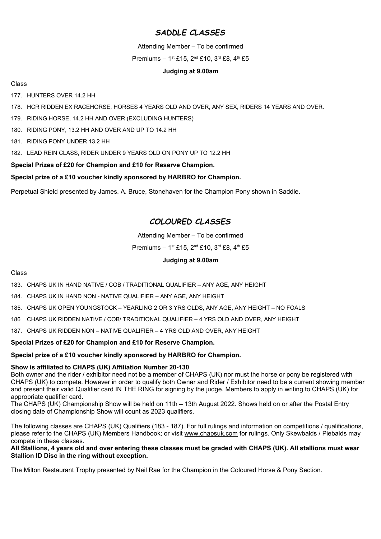### *SADDLE CLASSES*

Attending Member – To be confirmed

Premiums – 1st £15,  $2^{nd}$  £10,  $3^{rd}$  £8,  $4^{th}$  £5

#### **Judging at 9.00am**

Class

177. HUNTERS OVER 14.2 HH

- 178. HCR RIDDEN EX RACEHORSE, HORSES 4 YEARS OLD AND OVER, ANY SEX, RIDERS 14 YEARS AND OVER.
- 179. RIDING HORSE, 14.2 HH AND OVER (EXCLUDING HUNTERS)
- 180. RIDING PONY, 13.2 HH AND OVER AND UP TO 14.2 HH
- 181. RIDING PONY UNDER 13.2 HH
- 182. LEAD REIN CLASS, RIDER UNDER 9 YEARS OLD ON PONY UP TO 12.2 HH

#### **Special Prizes of £20 for Champion and £10 for Reserve Champion.**

#### **Special prize of a £10 voucher kindly sponsored by HARBRO for Champion.**

Perpetual Shield presented by James. A. Bruce, Stonehaven for the Champion Pony shown in Saddle.

### *COLOURED CLASSES*

#### Attending Member – To be confirmed

Premiums –  $1^{st}$  £15,  $2^{nd}$  £10,  $3^{rd}$  £8,  $4^{th}$  £5

#### **Judging at 9.00am**

#### Class

183. CHAPS UK IN HAND NATIVE / COB / TRADITIONAL QUALIFIER – ANY AGE, ANY HEIGHT

- 184. CHAPS UK IN HAND NON NATIVE QUALIFIER ANY AGE, ANY HEIGHT
- 185. CHAPS UK OPEN YOUNGSTOCK YEARLING 2 OR 3 YRS OLDS, ANY AGE, ANY HEIGHT NO FOALS
- 186 CHAPS UK RIDDEN NATIVE / COB/ TRADITIONAL QUALIFIER 4 YRS OLD AND OVER, ANY HEIGHT
- 187. CHAPS UK RIDDEN NON NATIVE QUALIFIER 4 YRS OLD AND OVER, ANY HEIGHT

#### **Special Prizes of £20 for Champion and £10 for Reserve Champion.**

#### **Special prize of a £10 voucher kindly sponsored by HARBRO for Champion.**

#### **Show is affiliated to CHAPS (UK) Affiliation Number 20-130**

Both owner and the rider / exhibitor need not be a member of CHAPS (UK) nor must the horse or pony be registered with CHAPS (UK) to compete. However in order to qualify both Owner and Rider / Exhibitor need to be a current showing member and present their valid Qualifier card IN THE RING for signing by the judge. Members to apply in writing to CHAPS (UK) for appropriate qualifier card.

The CHAPS (UK) Championship Show will be held on 11th – 13th August 2022. Shows held on or after the Postal Entry closing date of Championship Show will count as 2023 qualifiers.

The following classes are CHAPS (UK) Qualifiers (183 - 187). For full rulings and information on competitions / qualifications, please refer to the CHAPS (UK) Members Handbook; or visit [www.chapsuk.com](http://www.chapsuk.com/) for rulings. Only Skewbalds / Piebalds may compete in these classes.

#### **All Stallions, 4 years old and over entering these classes must be graded with CHAPS (UK). All stallions must wear Stallion ID Disc in the ring without exception.**

The Milton Restaurant Trophy presented by Neil Rae for the Champion in the Coloured Horse & Pony Section.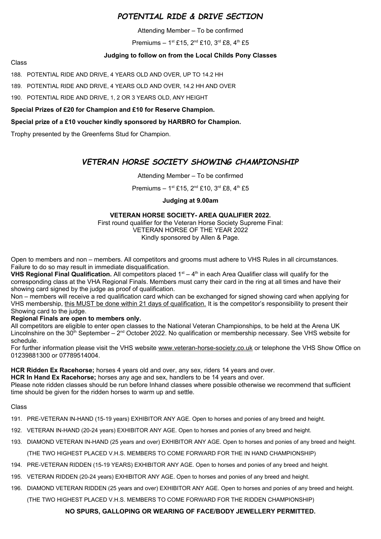### *POTENTIAL RIDE & DRIVE SECTION*

Attending Member – To be confirmed

Premiums – 1<sup>st</sup> £15, 2<sup>nd</sup> £10, 3<sup>rd</sup> £8, 4<sup>th</sup> £5

#### **Judging to follow on from the Local Childs Pony Classes**

Class

188. POTENTIAL RIDE AND DRIVE, 4 YEARS OLD AND OVER, UP TO 14.2 HH

189. POTENTIAL RIDE AND DRIVE, 4 YEARS OLD AND OVER, 14.2 HH AND OVER

190. POTENTIAL RIDE AND DRIVE, 1, 2 OR 3 YEARS OLD, ANY HEIGHT

**Special Prizes of £20 for Champion and £10 for Reserve Champion.** 

#### **Special prize of a £10 voucher kindly sponsored by HARBRO for Champion.**

Trophy presented by the Greenferns Stud for Champion.

### *VETERAN HORSE SOCIETY SHOWING CHAMPIONSHIP*

#### Attending Member – To be confirmed

Premiums – 1st £15, 2<sup>nd</sup> £10, 3<sup>rd</sup> £8, 4<sup>th</sup> £5

#### **Judging at 9.00am**

#### **VETERAN HORSE SOCIETY- AREA QUALIFIER 2022.**

First round qualifier for the Veteran Horse Society Supreme Final: VETERAN HORSE OF THE YEAR 2022 Kindly sponsored by Allen & Page.

Open to members and non – members. All competitors and grooms must adhere to VHS Rules in all circumstances. Failure to do so may result in immediate disqualification.

**VHS Regional Final Qualification.** All competitors placed 1<sup>st</sup> – 4<sup>th</sup> in each Area Qualifier class will qualify for the corresponding class at the VHA Regional Finals. Members must carry their card in the ring at all times and have their showing card signed by the judge as proof of qualification.

Non – members will receive a red qualification card which can be exchanged for signed showing card when applying for VHS membership, this MUST be done within 21 days of qualification. It is the competitor's responsibility to present their Showing card to the judge.

#### **Regional Finals are open to members only.**

All competitors are eligible to enter open classes to the National Veteran Championships, to be held at the Arena UK Lincolnshire on the 30<sup>th</sup> September –  $2^{nd}$  October 2022. No qualification or membership necessary. See VHS website for schedule.

For further information please visit the VHS website [www.veteran-horse-society.co.uk](http://www.veteran-horse-society.co.uk/) or telephone the VHS Show Office on 01239881300 or 07789514004.

**HCR Ridden Ex Racehorse;** horses 4 years old and over, any sex, riders 14 years and over.

**HCR In Hand Ex Racehorse;** horses any age and sex, handlers to be 14 years and over.

Please note ridden classes should be run before Inhand classes where possible otherwise we recommend that sufficient time should be given for the ridden horses to warm up and settle.

#### Class

- 191. PRE-VETERAN IN-HAND (15-19 years) EXHIBITOR ANY AGE. Open to horses and ponies of any breed and height.
- 192. VETERAN IN-HAND (20-24 years) EXHIBITOR ANY AGE. Open to horses and ponies of any breed and height.
- 193. DIAMOND VETERAN IN-HAND (25 years and over) EXHIBITOR ANY AGE. Open to horses and ponies of any breed and height. (THE TWO HIGHEST PLACED V.H.S. MEMBERS TO COME FORWARD FOR THE IN HAND CHAMPIONSHIP)
- 194. PRE-VETERAN RIDDEN (15-19 YEARS) EXHIBITOR ANY AGE. Open to horses and ponies of any breed and height.
- 195. VETERAN RIDDEN (20-24 years) EXHIBITOR ANY AGE. Open to horses and ponies of any breed and height.
- 196. DIAMOND VETERAN RIDDEN (25 years and over) EXHIBITOR ANY AGE. Open to horses and ponies of any breed and height.

(THE TWO HIGHEST PLACED V.H.S. MEMBERS TO COME FORWARD FOR THE RIDDEN CHAMPIONSHIP)

#### **NO SPURS, GALLOPING OR WEARING OF FACE/BODY JEWELLERY PERMITTED.**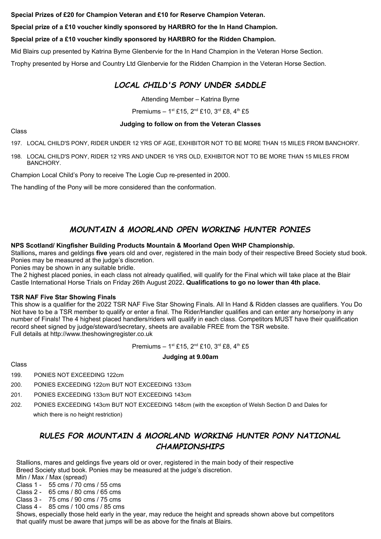**Special Prizes of £20 for Champion Veteran and £10 for Reserve Champion Veteran.** 

**Special prize of a £10 voucher kindly sponsored by HARBRO for the In Hand Champion.** 

#### **Special prize of a £10 voucher kindly sponsored by HARBRO for the Ridden Champion.**

Mid Blairs cup presented by Katrina Byrne Glenbervie for the In Hand Champion in the Veteran Horse Section.

Trophy presented by Horse and Country Ltd Glenbervie for the Ridden Champion in the Veteran Horse Section.

### *LOCAL CHILD'S PONY UNDER SADDLE*

Attending Member – Katrina Byrne

Premiums – 1st £15,  $2^{nd}$  £10,  $3^{rd}$  £8,  $4^{th}$  £5

#### **Judging to follow on from the Veteran Classes**

Class

197. LOCAL CHILD'S PONY, RIDER UNDER 12 YRS OF AGE, EXHIBITOR NOT TO BE MORE THAN 15 MILES FROM BANCHORY.

198. LOCAL CHILD'S PONY, RIDER 12 YRS AND UNDER 16 YRS OLD, EXHIBITOR NOT TO BE MORE THAN 15 MILES FROM BANCHORY.

Champion Local Child's Pony to receive The Logie Cup re-presented in 2000.

The handling of the Pony will be more considered than the conformation.

### *MOUNTAIN & MOORLAND OPEN WORKING HUNTER PONIES*

#### **NPS Scotland/ Kingfisher Building Products Mountain & Moorland Open WHP Championship.**

Stallions**,** mares and geldings **five** years old and over, registered in the main body of their respective Breed Society stud book. Ponies may be measured at the judge's discretion.

Ponies may be shown in any suitable bridle.

The 2 highest placed ponies, in each class not already qualified, will qualify for the Final which will take place at the Blair Castle International Horse Trials on Friday 26th August 2022**. Qualifications to go no lower than 4th place.**

#### **TSR NAF Five Star Showing Finals**

This show is a qualifier for the 2022 TSR NAF Five Star Showing Finals. All In Hand & Ridden classes are qualifiers. You Do Not have to be a TSR member to qualify or enter a final. The Rider/Handler qualifies and can enter any horse/pony in any number of Finals! The 4 highest placed handlers/riders will qualify in each class. Competitors MUST have their qualification record sheet signed by judge/steward/secretary, sheets are available FREE from the TSR website. Full details at http://www.theshowingregister.co.uk

Premiums –  $1^{st}$  £15,  $2^{nd}$  £10,  $3^{rd}$  £8,  $4^{th}$  £5

#### **Judging at 9.00am**

#### Class

- 199. PONIES NOT EXCEEDING 122cm
- 200. PONIES EXCEEDING 122cm BUT NOT EXCEEDING 133cm
- 201. PONIES EXCEEDING 133cm BUT NOT EXCEEDING 143cm
- 202. PONIES EXCEEDING 143cm BUT NOT EXCEEDING 148cm (with the exception of Welsh Section D and Dales for which there is no height restriction)

### *RULES FOR MOUNTAIN & MOORLAND WORKING HUNTER PONY NATIONAL CHAMPIONSHIPS*

 Stallions, mares and geldings five years old or over, registered in the main body of their respective Breed Society stud book. Ponies may be measured at the judge's discretion.

- Min / Max / Max (spread)
- Class 1 55 cms / 70 cms / 55 cms
- Class 2 65 cms / 80 cms / 65 cms
- Class 3 75 cms / 90 cms / 75 cms Class 4 - 85 cms / 100 cms / 85 cms

 Shows, especially those held early in the year, may reduce the height and spreads shown above but competitors that qualify must be aware that jumps will be as above for the finals at Blairs.